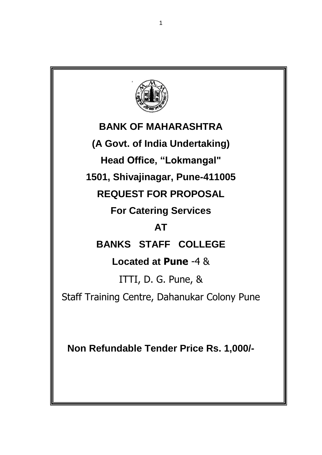

# **BANK OF MAHARASHTRA**

**(A Govt. of India Undertaking)**

**Head Office, "Lokmangal"**

**1501, Shivajinagar, Pune-411005**

**REQUEST FOR PROPOSAL**

**For Catering Services**

## **AT**

**BANKS STAFF COLLEGE**

**Located at Pune** -4 &

ITTI, D. G. Pune, &

Staff Training Centre, Dahanukar Colony Pune

**Non Refundable Tender Price Rs. 1,000/-**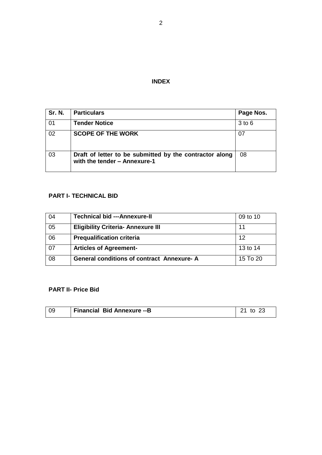### **INDEX**

| <b>Sr. N.</b> | <b>Particulars</b>                                                                      | Page Nos.  |
|---------------|-----------------------------------------------------------------------------------------|------------|
| -01           | <b>Tender Notice</b>                                                                    | $3$ to $6$ |
| 02            | <b>SCOPE OF THE WORK</b>                                                                | 07         |
| 03            | Draft of letter to be submitted by the contractor along<br>with the tender - Annexure-1 | 08         |

## **PART I- TECHNICAL BID**

| 04 | <b>Technical bid ---Annexure-II</b>              | 09 to 10 |
|----|--------------------------------------------------|----------|
| 05 | <b>Eligibility Criteria- Annexure III</b>        | 11       |
| 06 | <b>Prequalification criteria</b>                 | 12       |
| 07 | <b>Articles of Agreement-</b>                    | 13 to 14 |
| 08 | <b>General conditions of contract Annexure-A</b> | 15 To 20 |

## **PART II- Price Bid**

| l 09 | <b>Financial Bid Annexure -- B</b> | 74<br>to |
|------|------------------------------------|----------|
|      |                                    |          |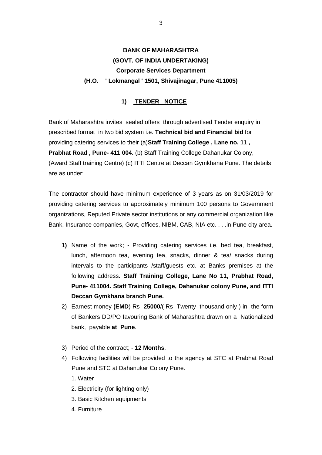## **BANK OF MAHARASHTRA (GOVT. OF INDIA UNDERTAKING) Corporate Services Department (H.O. ' Lokmangal ' 1501, Shivajinagar, Pune 411005)**

#### **1) TENDER NOTICE**

Bank of Maharashtra invites sealed offers through advertised Tender enquiry in prescribed format in two bid system i.e. **Technical bid and Financial bid** for providing catering services to their (a)**Staff Training College , Lane no. 11 , Prabhat Road , Pune- 411 004.** (b) Staff Training College Dahanukar Colony, (Award Staff training Centre) (c) ITTI Centre at Deccan Gymkhana Pune. The details are as under:

The contractor should have minimum experience of 3 years as on 31/03/2019 for providing catering services to approximately minimum 100 persons to Government organizations, Reputed Private sector institutions or any commercial organization like Bank, Insurance companies, Govt, offices, NIBM, CAB, NIA etc. . . .in Pune city area**.**

- **1)** Name of the work; Providing catering services i.e. bed tea, breakfast, lunch, afternoon tea, evening tea, snacks, dinner & tea/ snacks during intervals to the participants /staff/guests etc. at Banks premises at the following address. **Staff Training College, Lane No 11, Prabhat Road, Pune- 411004. Staff Training College, Dahanukar colony Pune, and ITTI Deccan Gymkhana branch Pune.**
- 2) Earnest money **(EMD**) Rs- **25000**/( Rs- Twenty thousand only ) in the form of Bankers DD/PO favouring Bank of Maharashtra drawn on a Nationalized bank, payable **at Pune**.
- 3) Period of the contract; **12 Months**.
- 4) Following facilities will be provided to the agency at STC at Prabhat Road Pune and STC at Dahanukar Colony Pune.
	- 1. Water
	- 2. Electricity (for lighting only)
	- 3. Basic Kitchen equipments
	- 4. Furniture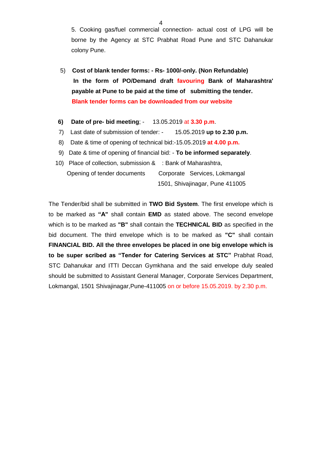5. Cooking gas/fuel commercial connection- actual cost of LPG will be borne by the Agency at STC Prabhat Road Pune and STC Dahanukar colony Pune.

- 5) **Cost of blank tender forms: - Rs- 1000/-only. (Non Refundable) In the form of PO/Demand draft favouring Bank of Maharashtra' payable at Pune to be paid at the time of submitting the tender. Blank tender forms can be downloaded from our website**
- **6) Date of pre- bid meeting**; 13.05.2019 at **3.30 p.m**.
- 7) Last date of submission of tender: 15.05.2019 **up to 2.30 p.m.**
- 8) Date & time of opening of technical bid:-15.05.2019 **at 4.00 p.m.**
- 9) Date & time of opening of financial bid: **To be informed separately**.
- 10) Place of collection, submission & : Bank of Maharashtra, Opening of tender documents Corporate Services, Lokmangal 1501, Shivajinagar, Pune 411005

The Tender/bid shall be submitted in **TWO Bid System**. The first envelope which is to be marked as **"A"** shall contain **EMD** as stated above. The second envelope which is to be marked as **"B"** shall contain the **TECHNICAL BID** as specified in the bid document. The third envelope which is to be marked as **"C"** shall contain **FINANCIAL BID. All the three envelopes be placed in one big envelope which is to be super scribed as "Tender for Catering Services at STC"** Prabhat Road, STC Dahanukar and ITTI Deccan Gymkhana and the said envelope duly sealed should be submitted to Assistant General Manager, Corporate Services Department, Lokmangal, 1501 Shivajinagar,Pune-411005 on or before 15.05.2019. by 2.30 p.m.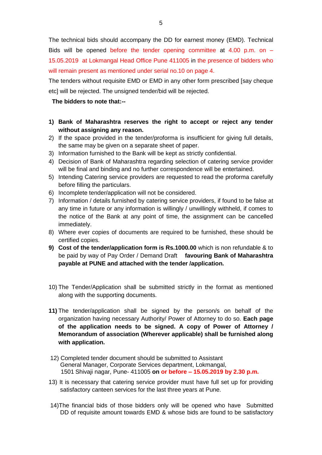The technical bids should accompany the DD for earnest money (EMD). Technical Bids will be opened before the tender opening committee at 4.00 p.m. on  $-$ 15.05.2019 at Lokmangal Head Office Pune 411005 in the presence of bidders who will remain present as mentioned under serial no.10 on page 4.

The tenders without requisite EMD or EMD in any other form prescribed [say cheque etc] will be rejected. The unsigned tender/bid will be rejected.

#### **The bidders to note that:--**

- **1) Bank of Maharashtra reserves the right to accept or reject any tender without assigning any reason.**
- 2) If the space provided in the tender/proforma is insufficient for giving full details, the same may be given on a separate sheet of paper.
- 3) Information furnished to the Bank will be kept as strictly confidential.
- 4) Decision of Bank of Maharashtra regarding selection of catering service provider will be final and binding and no further correspondence will be entertained.
- 5) Intending Catering service providers are requested to read the proforma carefully before filling the particulars.
- 6) Incomplete tender/application will not be considered.
- 7) Information / details furnished by catering service providers, if found to be false at any time in future or any information is willingly / unwillingly withheld, if comes to the notice of the Bank at any point of time, the assignment can be cancelled immediately.
- 8) Where ever copies of documents are required to be furnished, these should be certified copies.
- **9) Cost of the tender/application form is Rs.1000.00** which is non refundable & to be paid by way of Pay Order / Demand Draft **favouring Bank of Maharashtra payable at PUNE and attached with the tender /application.**
- 10) The Tender/Application shall be submitted strictly in the format as mentioned along with the supporting documents.
- **11)** The tender/application shall be signed by the person/s on behalf of the organization having necessary Authority/ Power of Attorney to do so. **Each page of the application needs to be signed. A copy of Power of Attorney / Memorandum of association (Wherever applicable) shall be furnished along with application.**
- 12) Completed tender document should be submitted to Assistant General Manager, Corporate Services department, Lokmangal, 1501 Shivaji nagar, Pune- 411005 **on or before – 15.05.2019 by 2.30 p.m.**
- 13) It is necessary that catering service provider must have full set up for providing satisfactory canteen services for the last three years at Pune.
- 14)The financial bids of those bidders only will be opened who have Submitted DD of requisite amount towards EMD & whose bids are found to be satisfactory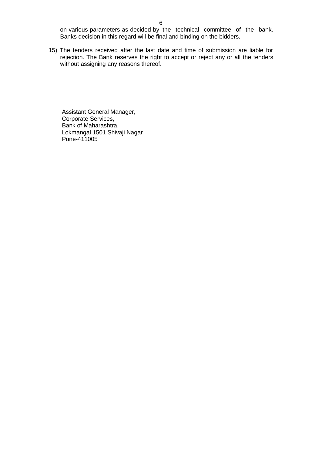on various parameters as decided by the technical committee of the bank. Banks decision in this regard will be final and binding on the bidders.

15) The tenders received after the last date and time of submission are liable for rejection. The Bank reserves the right to accept or reject any or all the tenders without assigning any reasons thereof.

 Assistant General Manager, Corporate Services, Bank of Maharashtra, Lokmangal 1501 Shivaji Nagar Pune-411005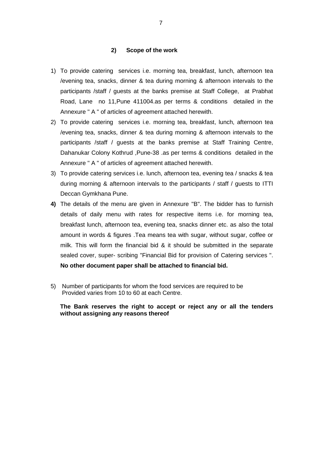#### **2) Scope of the work**

- 1) To provide catering services i.e. morning tea, breakfast, lunch, afternoon tea /evening tea, snacks, dinner & tea during morning & afternoon intervals to the participants /staff / guests at the banks premise at Staff College, at Prabhat Road, Lane no 11,Pune 411004.as per terms & conditions detailed in the Annexure " A " of articles of agreement attached herewith.
- 2) To provide catering services i.e. morning tea, breakfast, lunch, afternoon tea /evening tea, snacks, dinner & tea during morning & afternoon intervals to the participants /staff / guests at the banks premise at Staff Training Centre, Dahanukar Colony Kothrud ,Pune-38 .as per terms & conditions detailed in the Annexure " A " of articles of agreement attached herewith.
- 3) To provide catering services i.e. lunch, afternoon tea, evening tea / snacks & tea during morning & afternoon intervals to the participants / staff / guests to ITTI Deccan Gymkhana Pune.
- **4)** The details of the menu are given in Annexure "B". The bidder has to furnish details of daily menu with rates for respective items i.e. for morning tea, breakfast lunch, afternoon tea, evening tea, snacks dinner etc. as also the total amount in words & figures .Tea means tea with sugar, without sugar, coffee or milk. This will form the financial bid & it should be submitted in the separate sealed cover, super- scribing "Financial Bid for provision of Catering services ". **No other document paper shall be attached to financial bid.**
- 5) Number of participants for whom the food services are required to be Provided varies from 10 to 60 at each Centre.

 **The Bank reserves the right to accept or reject any or all the tenders without assigning any reasons thereof**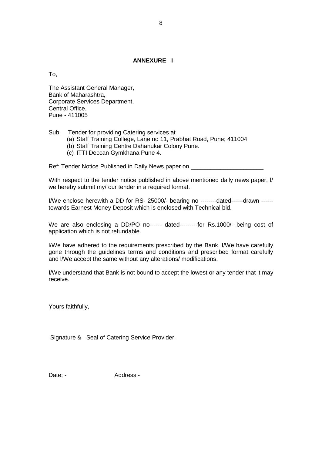#### **ANNEXURE I**

To,

The Assistant General Manager, Bank of Maharashtra, Corporate Services Department, Central Office, Pune - 411005

#### Sub: Tender for providing Catering services at

- (a) Staff Training College, Lane no 11, Prabhat Road, Pune; 411004
- (b) Staff Training Centre Dahanukar Colony Pune.
- (c) ITTI Deccan Gymkhana Pune 4.

Ref: Tender Notice Published in Daily News paper on \_\_\_\_\_\_\_\_\_\_\_\_\_\_\_\_\_\_\_\_\_\_\_\_\_\_\_\_

With respect to the tender notice published in above mentioned daily news paper, l/ we hereby submit my/ our tender in a required format.

I/We enclose herewith a DD for RS- 25000/- bearing no --------dated------drawn ----- towards Earnest Money Deposit which is enclosed with Technical bid.

We are also enclosing a DD/PO no------ dated---------for Rs.1000/- being cost of application which is not refundable.

l/We have adhered to the requirements prescribed by the Bank. l/We have carefully gone through the guidelines terms and conditions and prescribed format carefully and l/We accept the same without any alterations/ modifications.

I/We understand that Bank is not bound to accept the lowest or any tender that it may receive.

Yours faithfully,

Signature & Seal of Catering Service Provider.

Date; - Address;-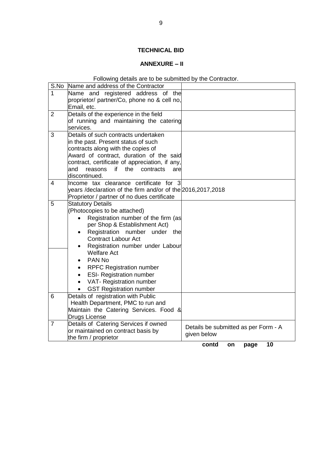#### **TECHNICAL BID**

## **ANNEXURE – II**

## Following details are to be submitted by the Contractor.

|                | S.No Name and address of the Contractor                       |                                      |
|----------------|---------------------------------------------------------------|--------------------------------------|
| 1              | Name and registered address of the                            |                                      |
|                | proprietor/ partner/Co, phone no & cell no,                   |                                      |
|                | Email, etc.                                                   |                                      |
| 2              | Details of the experience in the field                        |                                      |
|                | of running and maintaining the catering                       |                                      |
|                | services.                                                     |                                      |
| 3              | Details of such contracts undertaken                          |                                      |
|                | in the past. Present status of such                           |                                      |
|                | contracts along with the copies of                            |                                      |
|                | Award of contract, duration of the said                       |                                      |
|                | contract, certificate of appreciation, if any,                |                                      |
|                | land<br>if<br>the<br>reasons<br>contracts<br>are              |                                      |
|                | discontinued.                                                 |                                      |
| 4              | Income tax clearance certificate for 3                        |                                      |
|                | years /declaration of the firm and/or of the 2016, 2017, 2018 |                                      |
|                | Proprietor / partner of no dues certificate                   |                                      |
| 5              | <b>Statutory Details</b>                                      |                                      |
|                | (Photocopies to be attached)                                  |                                      |
|                | Registration number of the firm (as                           |                                      |
|                | per Shop & Establishment Act)                                 |                                      |
|                | Registration number under the                                 |                                      |
|                | <b>Contract Labour Act</b>                                    |                                      |
|                | Registration number under Labour                              |                                      |
|                | <b>Welfare Act</b>                                            |                                      |
|                | PAN No                                                        |                                      |
|                | <b>RPFC Registration number</b>                               |                                      |
|                | <b>ESI- Registration number</b>                               |                                      |
|                | VAT- Registration number                                      |                                      |
|                | <b>GST Registration number</b>                                |                                      |
| 6              | Details of registration with Public                           |                                      |
|                | Health Department, PMC to run and                             |                                      |
|                | Maintain the Catering Services. Food &                        |                                      |
|                | Drugs License                                                 |                                      |
| $\overline{7}$ | Details of Catering Services if owned                         |                                      |
|                | or maintained on contract basis by                            | Details be submitted as per Form - A |
|                | the firm / proprietor                                         | given below                          |
|                |                                                               |                                      |

 **contd on page 10**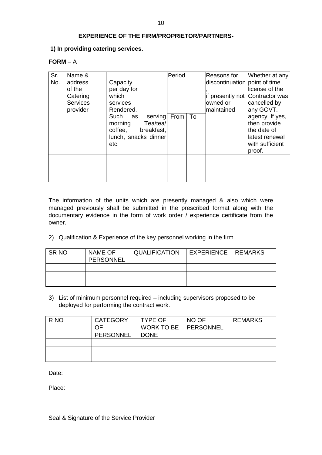#### **EXPERIENCE OF THE FIRM/PROPRIETOR/PARTNERS-**

#### **1) In providing catering services.**

#### **FORM** – A

| Sr.<br>No. | Name &<br>address<br>of the<br>Catering<br><b>Services</b><br>provider | Capacity<br>per day for<br>which<br>services<br>Rendered.<br>serving From<br>Such<br>as | Period<br>To | Reasons for<br>discontinuation point of time<br>if presently not Contractor was<br>owned or<br>maintained | Whether at any<br>license of the<br>cancelled by<br>any GOVT.<br>agency. If yes, |
|------------|------------------------------------------------------------------------|-----------------------------------------------------------------------------------------|--------------|-----------------------------------------------------------------------------------------------------------|----------------------------------------------------------------------------------|
|            |                                                                        | Tea/tea/<br>morning<br>coffee,<br>breakfast,<br>lunch, snacks dinner<br>etc.            |              |                                                                                                           | then provide<br>the date of<br>llatest renewal<br>with sufficient<br>proof.      |
|            |                                                                        |                                                                                         |              |                                                                                                           |                                                                                  |

The information of the units which are presently managed & also which were managed previously shall be submitted in the prescribed format along with the documentary evidence in the form of work order / experience certificate from the owner.

2) Qualification & Experience of the key personnel working in the firm

| I SR NO | NAME OF<br>PERSONNEL | <b>QUALIFICATION</b> | EXPERIENCE REMARKS |  |
|---------|----------------------|----------------------|--------------------|--|
|         |                      |                      |                    |  |
|         |                      |                      |                    |  |
|         |                      |                      |                    |  |

3) List of minimum personnel required – including supervisors proposed to be deployed for performing the contract work.

| R NO | <b>CATEGORY</b><br>OF<br>PERSONNEL | <b>TYPE OF</b><br>WORK TO BE   PERSONNEL<br><b>DONE</b> | NO OF | <b>REMARKS</b> |
|------|------------------------------------|---------------------------------------------------------|-------|----------------|
|      |                                    |                                                         |       |                |
|      |                                    |                                                         |       |                |
|      |                                    |                                                         |       |                |

Date:

Place:

Seal & Signature of the Service Provider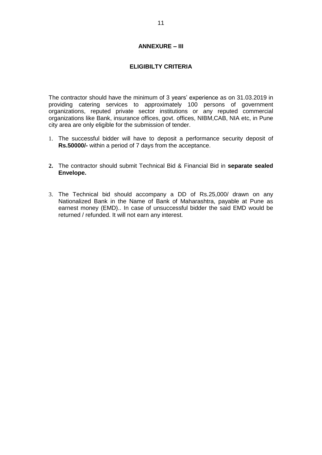#### **ANNEXURE – III**

#### **ELIGIBILTY CRITERIA**

The contractor should have the minimum of 3 years' experience as on 31.03.2019 in providing catering services to approximately 100 persons of government organizations, reputed private sector institutions or any reputed commercial organizations like Bank, insurance offices, govt. offices, NIBM,CAB, NIA etc, in Pune city area are only eligible for the submission of tender.

- 1. The successful bidder will have to deposit a performance security deposit of **Rs.50000/-** within a period of 7 days from the acceptance.
- **2.** The contractor should submit Technical Bid & Financial Bid in **separate sealed Envelope.**
- 3. The Technical bid should accompany a DD of Rs.25,000/ drawn on any Nationalized Bank in the Name of Bank of Maharashtra, payable at Pune as earnest money (EMD).. In case of unsuccessful bidder the said EMD would be returned / refunded. It will not earn any interest.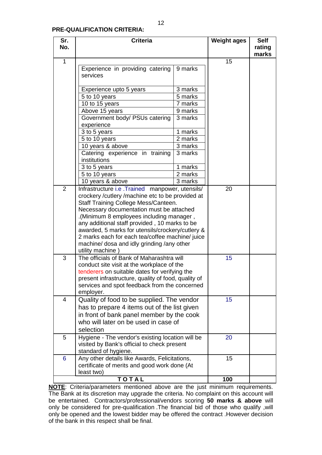| Sr.            | <b>Criteria</b>                                                                                                                                                                                                                                                                                                                                                                                |         | <b>Weight ages</b> | <b>Self</b> |
|----------------|------------------------------------------------------------------------------------------------------------------------------------------------------------------------------------------------------------------------------------------------------------------------------------------------------------------------------------------------------------------------------------------------|---------|--------------------|-------------|
| No.            |                                                                                                                                                                                                                                                                                                                                                                                                |         |                    | rating      |
| $\mathbf{1}$   |                                                                                                                                                                                                                                                                                                                                                                                                |         |                    | marks       |
|                | Experience in providing catering<br>services                                                                                                                                                                                                                                                                                                                                                   | 9 marks | 15                 |             |
|                | Experience upto 5 years                                                                                                                                                                                                                                                                                                                                                                        | 3 marks |                    |             |
|                | 5 to 10 years                                                                                                                                                                                                                                                                                                                                                                                  | 5 marks |                    |             |
|                | 10 to 15 years                                                                                                                                                                                                                                                                                                                                                                                 | 7 marks |                    |             |
|                | Above 15 years                                                                                                                                                                                                                                                                                                                                                                                 | 9 marks |                    |             |
|                | Government body/ PSUs catering<br>experience                                                                                                                                                                                                                                                                                                                                                   | 3 marks |                    |             |
|                | 3 to 5 years                                                                                                                                                                                                                                                                                                                                                                                   | 1 marks |                    |             |
|                | 5 to 10 years                                                                                                                                                                                                                                                                                                                                                                                  | 2 marks |                    |             |
|                | 10 years & above                                                                                                                                                                                                                                                                                                                                                                               | 3 marks |                    |             |
|                | Catering experience in training<br>institutions                                                                                                                                                                                                                                                                                                                                                | 3 marks |                    |             |
|                | 3 to 5 years                                                                                                                                                                                                                                                                                                                                                                                   | 1 marks |                    |             |
|                | 5 to 10 years                                                                                                                                                                                                                                                                                                                                                                                  | 2 marks |                    |             |
|                | 10 years & above                                                                                                                                                                                                                                                                                                                                                                               | 3 marks |                    |             |
| $\overline{2}$ | Infrastructure i.e. Trained manpower, utensils/<br>crockery / cutlery / machine etc to be provided at<br>Staff Training College Mess/Canteen.<br>Necessary documentation must be attached<br>. (Minimum 8 employees including manager,<br>any additional staff provided, 10 marks to be<br>awarded, 5 marks for utensils/crockery/cutlery &<br>2 marks each for each tea/coffee machine/ juice |         | 20                 |             |
| 3              | machine/ dosa and idly grinding /any other<br>utility machine)<br>The officials of Bank of Maharashtra will<br>conduct site visit at the workplace of the<br>tenderers on suitable dates for verifying the<br>present infrastructure, quality of food, quality of<br>services and spot feedback from the concerned                                                                             |         | 15                 |             |
| 4              | employer.<br>Quality of food to be supplied. The vendor<br>has to prepare 4 items out of the list given<br>in front of bank panel member by the cook<br>who will later on be used in case of<br>selection                                                                                                                                                                                      |         | 15                 |             |
| 5              | Hygiene - The vendor's existing location will be<br>visited by Bank's official to check present<br>standard of hygiene.                                                                                                                                                                                                                                                                        |         | 20                 |             |
| 6              | Any other details like Awards, Felicitations,<br>certificate of merits and good work done (At<br>least two)                                                                                                                                                                                                                                                                                    |         | 15                 |             |
|                | <b>TOTAL</b>                                                                                                                                                                                                                                                                                                                                                                                   |         | 100                |             |

**NOTE**: Criteria/parameters mentioned above are the just minimum requirements. The Bank at its discretion may upgrade the criteria. No complaint on this account will be entertained. Contractors/professional/vendors scoring **50 marks & above** will only be considered for pre-qualification .The financial bid of those who qualify ,will only be opened and the lowest bidder may be offered the contract. However decision of the bank in this respect shall be final.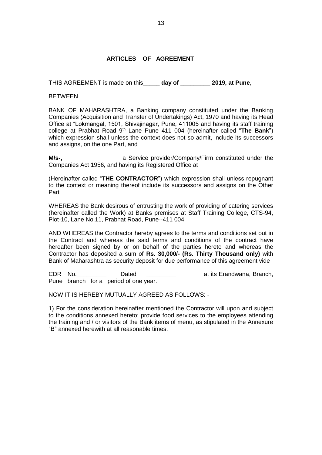#### **ARTICLES OF AGREEMENT**

THIS AGREEMENT is made on this**\_\_\_\_\_ day of \_\_\_\_\_\_\_\_\_ 2019, at Pune**,

BETWEEN

BANK OF MAHARASHTRA, a Banking company constituted under the Banking Companies (Acquisition and Transfer of Undertakings) Act, 1970 and having its Head Office at "Lokmangal, 1501, Shivajinagar, Pune, 411005 and having its staff training college at Prabhat Road 9th Lane Pune 411 004 (hereinafter called "**The Bank**") which expression shall unless the context does not so admit, include its successors and assigns, on the one Part, and

**M/s-,** a Service provider/Company/Firm constituted under the Companies Act 1956, and having its Registered Office at

(Hereinafter called "**THE CONTRACTOR**") which expression shall unless repugnant to the context or meaning thereof include its successors and assigns on the Other Part

WHEREAS the Bank desirous of entrusting the work of providing of catering services (hereinafter called the Work) at Banks premises at Staff Training College, CTS-94, Plot-10, Lane No.11, Prabhat Road, Pune--411 004.

AND WHEREAS the Contractor hereby agrees to the terms and conditions set out in the Contract and whereas the said terms and conditions of the contract have hereafter been signed by or on behalf of the parties hereto and whereas the Contractor has deposited a sum of **Rs. 30,000/- (Rs. Thirty Thousand only)** with Bank of Maharashtra as security deposit for due performance of this agreement vide

CDR No.\_\_\_\_\_\_\_\_\_ Dated \_\_\_\_\_\_\_\_\_ , at its Erandwana, Branch, Pune branch for a period of one year.

NOW IT IS HEREBY MUTUALLY AGREED AS FOLLOWS: -

1) For the consideration hereinafter mentioned the Contractor will upon and subject to the conditions annexed hereto; provide food services to the employees attending the training and / or visitors of the Bank items of menu, as stipulated in the Annexure "B" annexed herewith at all reasonable times.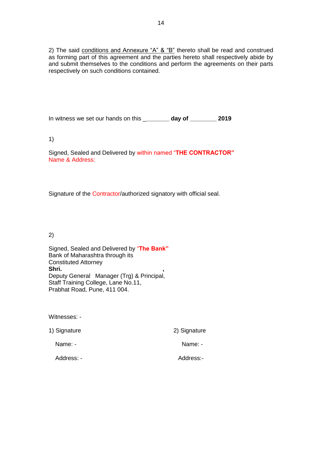2) The said conditions and Annexure "A"  $\&$  "B" thereto shall be read and construed as forming part of this agreement and the parties hereto shall respectively abide by and submit themselves to the conditions and perform the agreements on their parts respectively on such conditions contained.

In witness we set our hands on this \_**\_\_\_\_\_\_\_ day of \_\_\_\_\_\_\_\_ 2019**

1)

Signed, Sealed and Delivered by within named "**THE CONTRACTOR"** Name & Address:

Signature of the Contractor/authorized signatory with official seal.

2)

Signed, Sealed and Delivered by "**The Bank"** Bank of Maharashtra through its Constituted Attorney<br>Shri. **Shri. ,**  Deputy General Manager (Trg) & Principal, Staff Training College, Lane No.11, Prabhat Road, Pune, 411 004.

Witnesses: -

1) Signature 2) Signature

Name: - Name: - Name: - Name: - Name: - Name: - Name: - Name: - Name: - Name: - Name: - Name: - Name: - Name: -  $\sim$ 

Address: - Address:-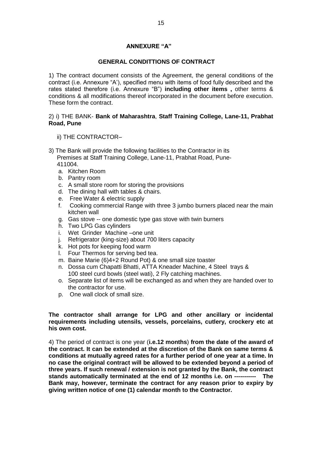#### **ANNEXURE "A"**

#### **GENERAL CONDITTIONS OF CONTRACT**

1) The contract document consists of the Agreement, the general conditions of the contract (i.e. Annexure "A'), specified menu with items of food fully described and the rates stated therefore (i.e. Annexure "B") **including other items ,** other terms & conditions & all modifications thereof incorporated in the document before execution. These form the contract.

#### 2) i) THE BANK- **Bank of Maharashtra**, **Staff Training College, Lane-11, Prabhat Road, Pune**

- ii) THE CONTRACTOR–
- 3) The Bank will provide the following facilities to the Contractor in its Premises at Staff Training College, Lane-11, Prabhat Road, Pune- 411004.
	- a. Kitchen Room
	- b. Pantry room
	- c. A small store room for storing the provisions
	- d. The dining hall with tables & chairs.
	- e. Free Water & electric supply
	- f. Cooking commercial Range with three 3 jumbo burners placed near the main kitchen wall
	- g. Gas stove -- one domestic type gas stove with twin burners
	- h. Two LPG Gas cylinders
	- i. Wet Grinder Machine –one unit
	- j. Refrigerator (king-size) about 700 liters capacity
	- k. Hot pots for keeping food warm
	- l. Four Thermos for serving bed tea.
	- m. Baine Marie (6)4+2 Round Pot) & one small size toaster
	- n. Dossa cum Chapatti Bhatti, ATTA Kneader Machine, 4 Steel trays & 100 steel curd bowls (steel wati), 2 Fly catching machines.
	- o. Separate list of items will be exchanged as and when they are handed over to the contractor for use.
	- p. One wall clock of small size.

#### **The contractor shall arrange for LPG and other ancillary or incidental requirements including utensils, vessels, porcelains, cutlery, crockery etc at his own cost.**

4) The period of contract is one year (**i.e.12 months**) **from the date of the award of the contract. It can be extended at the discretion of the Bank on same terms & conditions at mutually agreed rates for a further period of one year at a time. In no case the original contract will be allowed to be extended beyond a period of three years. If such renewal / extension is not granted by the Bank, the contract stands automatically terminated at the end of 12 months i.e. on ----------- The Bank may, however, terminate the contract for any reason prior to expiry by giving written notice of one (1) calendar month to the Contractor.**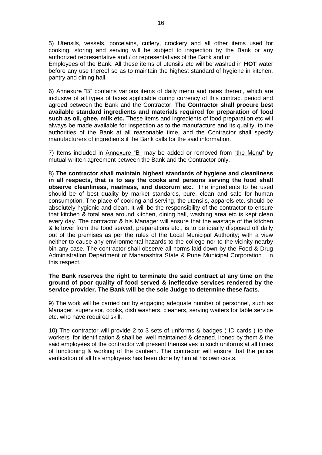5) Utensils, vessels, porcelains, cutlery, crockery and all other items used for cooking, storing and serving will be subject to inspection by the Bank or any authorized representative and / or representatives of the Bank and or

Employees of the Bank. All these items of utensils etc will be washed in **HOT** water before any use thereof so as to maintain the highest standard of hygiene in kitchen, pantry and dining hall.

6) Annexure "B" contains various items of daily menu and rates thereof, which are inclusive of all types of taxes applicable during currency of this contract period and agreed between the Bank and the Contractor. **The Contractor shall procure best available standard ingredients and materials required for preparation of food such as oil, ghee, milk etc.** These items and ingredients of food preparation etc will always be made available for inspection as to the manufacture and its quality, to the authorities of the Bank at all reasonable time, and the Contractor shall specify manufacturers of ingredients if the Bank calls for the said information.

7) Items included in Annexure "B" may be added or removed from "the Menu" by mutual written agreement between the Bank and the Contractor only.

8) **The contractor shall maintain highest standards of hygiene and cleanliness in all respects, that is to say the cooks and persons serving the food shall observe cleanliness, neatness, and decorum etc.**. The ingredients to be used should be of best quality by market standards, pure, clean and safe for human consumption. The place of cooking and serving, the utensils, apparels etc. should be absolutely hygienic and clean. It will be the responsibility of the contractor to ensure that kitchen & total area around kitchen, dining hall, washing area etc is kept clean every day. The contractor & his Manager will ensure that the wastage of the kitchen & leftover from the food served, preparations etc., is to be ideally disposed off daily out of the premises as per the rules of the Local Municipal Authority; with a view neither to cause any environmental hazards to the college nor to the vicinity nearby bin any case. The contractor shall observe all norms laid down by the Food & Drug Administration Department of Maharashtra State & Pune Municipal Corporation in this respect.

#### **The Bank reserves the right to terminate the said contract at any time on the ground of poor quality of food served & ineffective services rendered by the service provider. The Bank will be the sole Judge to determine these facts.**

9) The work will be carried out by engaging adequate number of personnel, such as Manager, supervisor, cooks, dish washers, cleaners, serving waiters for table service etc. who have required skill.

10) The contractor will provide 2 to 3 sets of uniforms & badges ( ID cards ) to the workers for identification & shall be well maintained & cleaned, ironed by them & the said employees of the contractor will present themselves in such uniforms at all times of functioning & working of the canteen. The contractor will ensure that the police verification of all his employees has been done by him at his own costs.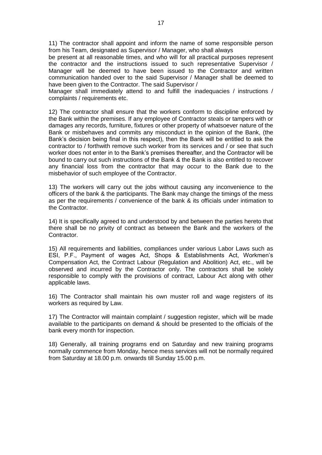11) The contractor shall appoint and inform the name of some responsible person from his Team, designated as Supervisor / Manager, who shall always

be present at all reasonable times, and who will for all practical purposes represent the contractor and the instructions issued to such representative Supervisor / Manager will be deemed to have been issued to the Contractor and written communication handed over to the said Supervisor / Manager shall be deemed to have been given to the Contractor. The said Supervisor /

Manager shall immediately attend to and fulfill the inadequacies / instructions / complaints / requirements etc.

12) The contractor shall ensure that the workers conform to discipline enforced by the Bank within the premises. If any employee of Contractor steals or tampers with or damages any records, furniture, fixtures or other property of whatsoever nature of the Bank or misbehaves and commits any misconduct in the opinion of the Bank, (the Bank's decision being final in this respect), then the Bank will be entitled to ask the contractor to / forthwith remove such worker from its services and / or see that such worker does not enter in to the Bank's premises thereafter, and the Contractor will be bound to carry out such instructions of the Bank & the Bank is also entitled to recover any financial loss from the contractor that may occur to the Bank due to the misbehavior of such employee of the Contractor.

13) The workers will carry out the jobs without causing any inconvenience to the officers of the bank & the participants. The Bank may change the timings of the mess as per the requirements / convenience of the bank & its officials under intimation to the Contractor.

14) It is specifically agreed to and understood by and between the parties hereto that there shall be no privity of contract as between the Bank and the workers of the Contractor.

15) All requirements and liabilities, compliances under various Labor Laws such as ESI, P.F., Payment of wages Act, Shops & Establishments Act, Workmen's Compensation Act, the Contract Labour (Regulation and Abolition) Act, etc., will be observed and incurred by the Contractor only. The contractors shall be solely responsible to comply with the provisions of contract, Labour Act along with other applicable laws.

16) The Contractor shall maintain his own muster roll and wage registers of its workers as required by Law.

17) The Contractor will maintain complaint / suggestion register, which will be made available to the participants on demand & should be presented to the officials of the bank every month for inspection.

18) Generally, all training programs end on Saturday and new training programs normally commence from Monday, hence mess services will not be normally required from Saturday at 18.00 p.m. onwards till Sunday 15.00 p.m.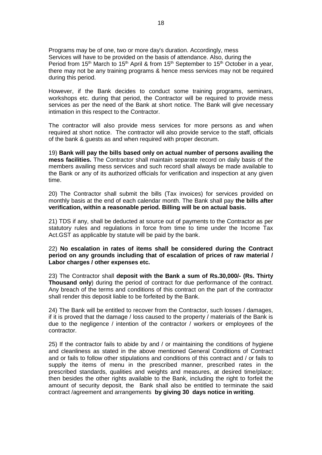Programs may be of one, two or more day's duration. Accordingly, mess Services will have to be provided on the basis of attendance. Also, during the Period from 15<sup>th</sup> March to 15<sup>th</sup> April & from 15<sup>th</sup> September to 15<sup>th</sup> October in a year, there may not be any training programs & hence mess services may not be required during this period.

However, if the Bank decides to conduct some training programs, seminars, workshops etc. during that period, the Contractor will be required to provide mess services as per the need of the Bank at short notice. The Bank will give necessary intimation in this respect to the Contractor.

The contractor will also provide mess services for more persons as and when required at short notice. The contractor will also provide service to the staff, officials of the bank & guests as and when required with proper decorum.

19) **Bank will pay the bills based only on actual number of persons availing the mess facilities.** The Contractor shall maintain separate record on daily basis of the members availing mess services and such record shall always be made available to the Bank or any of its authorized officials for verification and inspection at any given time.

20) The Contractor shall submit the bills (Tax invoices) for services provided on monthly basis at the end of each calendar month. The Bank shall pay **the bills after verification, within a reasonable period. Billing will be on actual basis.**

21) TDS if any, shall be deducted at source out of payments to the Contractor as per statutory rules and regulations in force from time to time under the Income Tax Act.GST as applicable by statute will be paid by the bank.

22) **No escalation in rates of items shall be considered during the Contract period on any grounds including that of escalation of prices of raw material / Labor charges / other expenses etc.**

23) The Contractor shall **deposit with the Bank a sum of Rs.30,000/- (Rs. Thirty Thousand only**) during the period of contract for due performance of the contract. Any breach of the terms and conditions of this contract on the part of the contractor shall render this deposit liable to be forfeited by the Bank.

24) The Bank will be entitled to recover from the Contractor, such losses / damages, if it is proved that the damage / loss caused to the property / materials of the Bank is due to the negligence / intention of the contractor / workers or employees of the contractor.

25) If the contractor fails to abide by and / or maintaining the conditions of hygiene and cleanliness as stated in the above mentioned General Conditions of Contract and or fails to follow other stipulations and conditions of this contract and / or fails to supply the items of menu in the prescribed manner, prescribed rates in the prescribed standards, qualities and weights and measures, at desired time/place; then besides the other rights available to the Bank, including the right to forfeit the amount of security deposit, the Bank shall also be entitled to terminate the said contract /agreement and arrangements **by giving 30 days notice in writing**.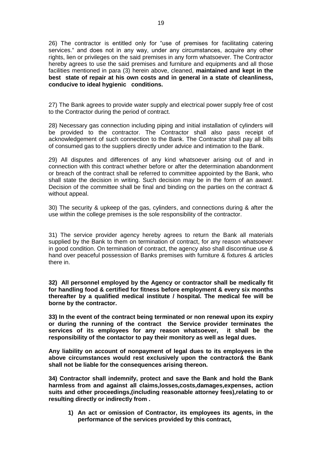26) The contractor is entitled only for "use of premises for facilitating catering services." and does not in any way, under any circumstances, acquire any other rights, lien or privileges on the said premises in any form whatsoever. The Contractor hereby agrees to use the said premises and furniture and equipments and all those facilities mentioned in para (3) herein above, cleaned, **maintained and kept in the best state of repair at his own costs and in general in a state of cleanliness, conducive to ideal hygienic conditions.**

27) The Bank agrees to provide water supply and electrical power supply free of cost to the Contractor during the period of contract.

28) Necessary gas connection including piping and initial installation of cylinders will be provided to the contractor. The Contractor shall also pass receipt of acknowledgement of such connection to the Bank. The Contractor shall pay all bills of consumed gas to the suppliers directly under advice and intimation to the Bank.

29) All disputes and differences of any kind whatsoever arising out of and in connection with this contract whether before or after the determination abandonment or breach of the contract shall be referred to committee appointed by the Bank, who shall state the decision in writing. Such decision may be in the form of an award. Decision of the committee shall be final and binding on the parties on the contract & without appeal.

30) The security & upkeep of the gas, cylinders, and connections during & after the use within the college premises is the sole responsibility of the contractor.

31) The service provider agency hereby agrees to return the Bank all materials supplied by the Bank to them on termination of contract, for any reason whatsoever in good condition. On termination of contract, the agency also shall discontinue use & hand over peaceful possession of Banks premises with furniture & fixtures & articles there in.

**32) All personnel employed by the Agency or contractor shall be medically fit for handling food & certified for fitness before employment & every six months thereafter by a qualified medical institute / hospital. The medical fee will be borne by the contractor.** 

**33) In the event of the contract being terminated or non renewal upon its expiry or during the running of the contract the Service provider terminates the services of its employees for any reason whatsoever, it shall be the responsibility of the contactor to pay their monitory as well as legal dues.**

**Any liability on account of nonpayment of legal dues to its employees in the above circumstances would rest exclusively upon the contractor& the Bank shall not be liable for the consequences arising thereon.** 

**34) Contractor shall indemnify, protect and save the Bank and hold the Bank harmless from and against all claims,losses,costs,damages,expenses, action suits and other proceedings,(including reasonable attorney fees),relating to or resulting directly or indirectly from .**

**1) An act or omission of Contractor, its employees its agents, in the performance of the services provided by this contract,**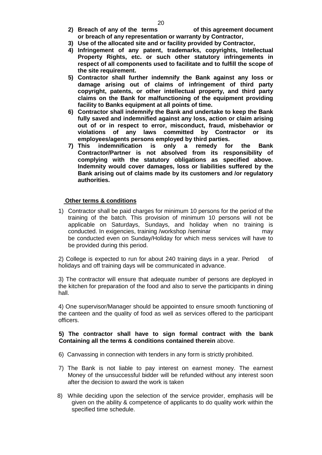- **2) Breach of any of the terms of this agreement document or breach of any representation or warranty by Contractor,**
- **3) Use of the allocated site and or facility provided by Contractor,**
- **4) Infringement of any patent, trademarks, copyrights, Intellectual Property Rights, etc. or such other statutory infringements in respect of all components used to facilitate and to fulfill the scope of the site requirement.**
- **5) Contractor shall further indemnify the Bank against any loss or damage arising out of claims of infringement of third party copyright, patents, or other intellectual property, and third party claims on the Bank for malfunctioning of the equipment providing facility to Banks equipment at all points of time.**
- **6) Contractor shall indemnify the Bank and undertake to keep the Bank fully saved and indemnified against any loss, action or claim arising out of or in respect to error, misconduct, fraud, misbehavior or violations of any laws committed by Contractor or its employees/agents persons employed by third parties.**
- **7) This indemnification is only a remedy for the Bank Contractor/Partner is not absolved from its responsibility of complying with the statutory obligations as specified above. Indemnity would cover damages, loss or liabilities suffered by the Bank arising out of claims made by its customers and /or regulatory authorities.**

#### **Other terms & conditions**

1) Contractor shall be paid charges for minimum 10 persons for the period of the training of the batch. This provision of minimum 10 persons will not be applicable on Saturdays, Sundays, and holiday when no training is conducted. In exigencies, training /workshop /seminar may may be conducted even on Sunday/Holiday for which mess services will have to be provided during this period.

2) College is expected to run for about 240 training days in a year. Period of holidays and off training days will be communicated in advance.

3) The contractor will ensure that adequate number of persons are deployed in the kitchen for preparation of the food and also to serve the participants in dining hall.

4) One supervisor/Manager should be appointed to ensure smooth functioning of the canteen and the quality of food as well as services offered to the participant officers.

#### **5) The contractor shall have to sign formal contract with the bank Containing all the terms & conditions contained therein** above.

- 6) Canvassing in connection with tenders in any form is strictly prohibited.
- 7) The Bank is not liable to pay interest on earnest money. The earnest Money of the unsuccessful bidder will be refunded without any interest soon after the decision to award the work is taken
- 8) While deciding upon the selection of the service provider, emphasis will be given on the ability & competence of applicants to do quality work within the specified time schedule.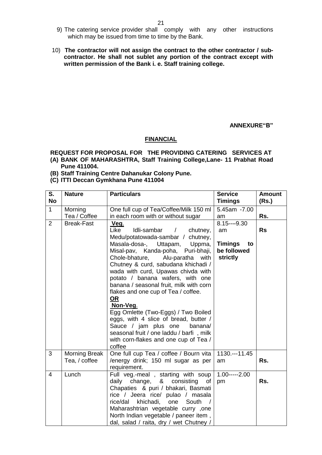- 9) The catering service provider shall comply with any other instructions which may be issued from time to time by the Bank.
- 10) **The contractor will not assign the contract to the other contractor / subcontractor. He shall not sublet any portion of the contract except with written permission of the Bank i. e. Staff training college.**

#### **ANNEXURE"B"**

#### **FINANCIAL**

**REQUEST FOR PROPOSAL FOR THE PROVIDING CATERING SERVICES AT (A) BANK OF MAHARASHTRA, Staff Training College,Lane- 11 Prabhat Road** 

- **Pune 411004.**
- **(B) Staff Training Centre Dahanukar Colony Pune.**
- **(C) ITTI Deccan Gymkhana Pune 411004**

| S.<br><b>No</b> | <b>Nature</b>                         | <b>Particulars</b>                                                                                                                                                                                                                                                                                                                                                                                                                                                                                                                                                                                                                                                     | <b>Service</b><br><b>Timings</b>                                      | <b>Amount</b><br>(Rs.) |
|-----------------|---------------------------------------|------------------------------------------------------------------------------------------------------------------------------------------------------------------------------------------------------------------------------------------------------------------------------------------------------------------------------------------------------------------------------------------------------------------------------------------------------------------------------------------------------------------------------------------------------------------------------------------------------------------------------------------------------------------------|-----------------------------------------------------------------------|------------------------|
| $\mathbf{1}$    | Morning                               | One full cup of Tea/Coffee/Milk 150 ml                                                                                                                                                                                                                                                                                                                                                                                                                                                                                                                                                                                                                                 | 5.45am - 7.00                                                         |                        |
|                 | Tea / Coffee                          | in each room with or without sugar                                                                                                                                                                                                                                                                                                                                                                                                                                                                                                                                                                                                                                     | am                                                                    | Rs.                    |
| $\overline{2}$  | <b>Break-Fast</b>                     | Veg.<br>Like<br>Idli-sambar<br>$\overline{\phantom{a}}$<br>chutney,<br>Medu/potatowada-sambar / chutney,<br>Masala-dosa-, Uttapam,<br>Uppma,<br>Misal-pav, Kanda-poha, Puri-bhaji,<br>Chole-bhature, Alu-paratha<br>with<br>Chutney & curd, sabudana khichadi /<br>wada with curd, Upawas chivda with<br>potato / banana wafers, with one<br>banana / seasonal fruit, milk with corn<br>flakes and one cup of Tea / coffee.<br><u>OR</u><br>Non-Veg.<br>Egg Omlette (Two-Eggs) / Two Boiled<br>eggs, with 4 slice of bread, butter /<br>Sauce / jam plus one<br>banana/<br>seasonal fruit / one laddu / barfi, milk<br>with corn-flakes and one cup of Tea /<br>coffee | $8.15--9.30$<br>am<br><b>Timings</b><br>to<br>be followed<br>strictly | <b>Rs</b>              |
| 3               | <b>Morning Break</b><br>Tea, / coffee | One full cup Tea / coffee / Bourn vita<br>/energy drink; 150 ml sugar as per<br>requirement.                                                                                                                                                                                                                                                                                                                                                                                                                                                                                                                                                                           | $1130 - 11.45$<br>am                                                  | Rs.                    |
| $\overline{4}$  | Lunch                                 | Full veg.-meal, starting with soup<br>daily change, & consisting of<br>Chapaties & puri / bhakari, Basmati<br>rice / Jeera rice/ pulao / masala<br>khichadi,<br>rice/dal<br>one<br>South<br>Maharashtrian vegetable curry , one<br>North Indian vegetable / paneer item,<br>dal, salad / raita, dry / wet Chutney /                                                                                                                                                                                                                                                                                                                                                    | $1.00---2.00$<br>pm                                                   | Rs.                    |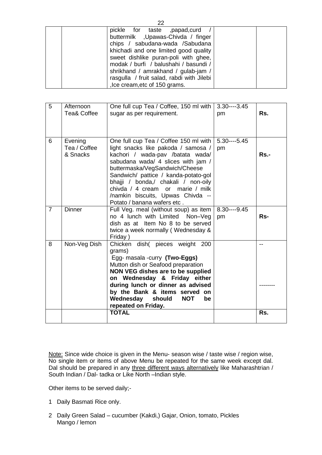|  | pickle for taste , papad, curd /          |  |  |  |
|--|-------------------------------------------|--|--|--|
|  | buttermilk, Upawas-Chivda / finger        |  |  |  |
|  | chips / sabudana-wada / Sabudana          |  |  |  |
|  | khichadi and one limited good quality     |  |  |  |
|  | sweet dishlike puran-poli with ghee,      |  |  |  |
|  | modak / burfi / balushahi / basundi /     |  |  |  |
|  | shrikhand / amrakhand / gulab-jam /       |  |  |  |
|  | rasgulla / fruit salad, rabdi with Jilebi |  |  |  |
|  | , Ice cream, etc of 150 grams.            |  |  |  |

| 5              | Afternoon              | One full cup Tea / Coffee, 150 ml with | $3.30---3.45$ |         |
|----------------|------------------------|----------------------------------------|---------------|---------|
|                | <b>Tea&amp; Coffee</b> | sugar as per requirement.              | pm            | Rs.     |
|                |                        |                                        |               |         |
|                |                        |                                        |               |         |
|                |                        |                                        |               |         |
| 6              | Evening                | One full cup Tea / Coffee 150 ml with  | $5.30---5.45$ |         |
|                | Tea / Coffee           | light snacks like pakoda / samosa /    | pm            |         |
|                | & Snacks               | kachori / wada-pav /batata wada/       |               | $Rs. -$ |
|                |                        | sabudana wada/ 4 slices with jam /     |               |         |
|                |                        | buttermaska/VegSandwich/Cheese         |               |         |
|                |                        | Sandwich/ pattice / kanda-potato-gol   |               |         |
|                |                        | bhajji / bonda,/ chakali / non-oily    |               |         |
|                |                        | chivda / 4 cream or marie / milk       |               |         |
|                |                        | /namkin biscuits, Upwas Chivda --      |               |         |
|                |                        | Potato / banana wafers etc.            |               |         |
| $\overline{7}$ | <b>Dinner</b>          | Full Veg. meal (without soup) as item  | $8.30--9.45$  |         |
|                |                        | no 4 lunch with Limited Non-Veg        | pm            | $Rs-$   |
|                |                        | dish as at Item No 8 to be served      |               |         |
|                |                        | twice a week normally (Wednesday &     |               |         |
|                |                        | Friday)                                |               |         |
| 8              | Non-Veg Dish           | Chicken dish( pieces weight 200        |               | $-$     |
|                |                        | grams)                                 |               |         |
|                |                        | Egg- masala -curry (Two-Eggs)          |               |         |
|                |                        | Mutton dish or Seafood preparation     |               |         |
|                |                        | NON VEG dishes are to be supplied      |               |         |
|                |                        | on Wednesday & Friday either           |               |         |
|                |                        | during lunch or dinner as advised      |               |         |
|                |                        | by the Bank & items served on          |               |         |
|                |                        | Wednesday should NOT<br>be             |               |         |
|                |                        | repeated on Friday.                    |               |         |
|                |                        | <b>TOTAL</b>                           |               | Rs.     |
|                |                        |                                        |               |         |

Note: Since wide choice is given in the Menu- season wise / taste wise / region wise, No single item or items of above Menu be repeated for the same week except dal. Dal should be prepared in any three different ways alternatively like Maharashtrian / South Indian / Dal- tadka or Like North –Indian style.

Other items to be served daily;-

- 1 Daily Basmati Rice only.
- 2 Daily Green Salad cucumber (Kakdi,) Gajar, Onion, tomato, Pickles Mango / lemon